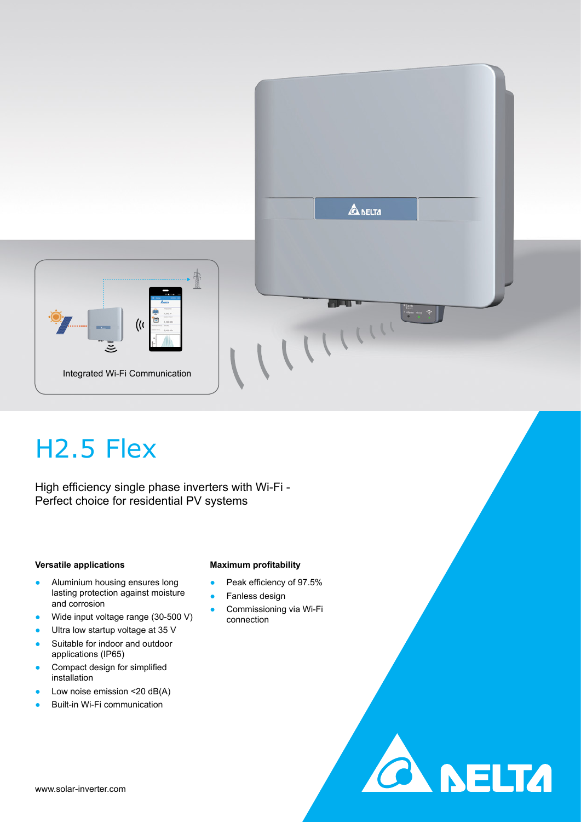



**CA NELTA** 

# H2.5 Flex

High efficiency single phase inverters with Wi-Fi - Perfect choice for residential PV systems

### **Versatile applications**

- Aluminium housing ensures long lasting protection against moisture and corrosion
- Wide input voltage range (30-500 V)
- Ultra low startup voltage at 35 V
- Suitable for indoor and outdoor applications (IP65)
- Compact design for simplified installation
- Low noise emission  $<$  20 dB(A)
- **Built-in Wi-Fi communication**

### **Maximum profitability**

- Peak efficiency of 97.5%
- Fanless design
- Commissioning via Wi-Fi connection